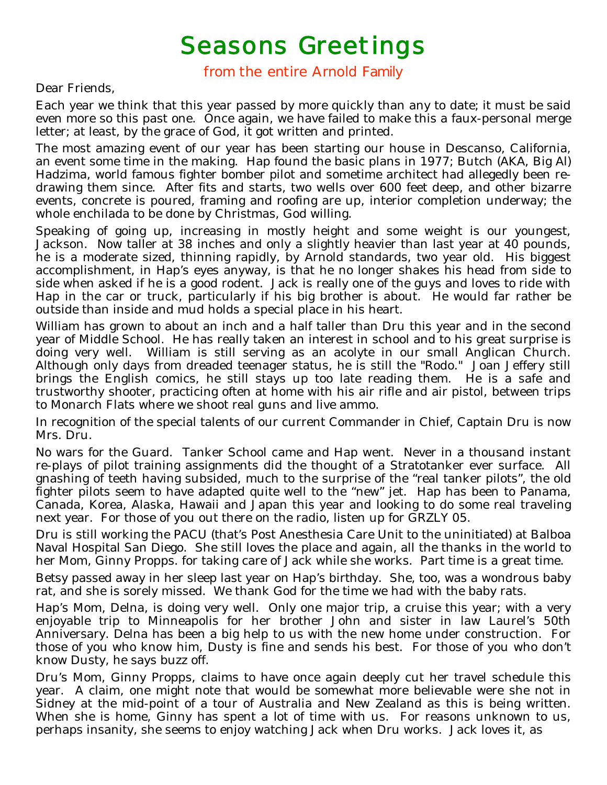## Seasons Greetings<br>from the entire Arnold Family

Dear Friends,

Each year we think that this year passed by more quickly than any to date; it must be said even more so this past one. Once again, we have failed to make this a faux-personal merge letter; at least, by the grace of God, it got written and printed.

The most amazing event of our year has been starting our house in Descanso, California, an event some time in the making. Hap found the basic plans in 1977; Butch (AKA, Big Al) Hadzima, world famous fighter bomber pilot and sometime architect had allegedly been redrawing them since. After fits and starts, two wells over 600 feet deep, and other bizarre events, concrete is poured, framing and roofing are up, interior completion underway; the whole enchilada to be done by Christmas, God willing.

Speaking of going up, increasing in mostly height and some weight is our youngest, Jackson. Now taller at 38 inches and only a slightly heavier than last year at 40 pounds, he is a moderate sized, thinning rapidly, by Arnold standards, two year old. His biggest accomplishment, in Hap's eyes anyway, is that he no longer shakes his head from side to side when asked if he is a good rodent. Jack is really one of the guys and loves to ride with Hap in the car or truck, particularly if his big brother is about. He would far rather be outside than inside and mud holds a special place in his heart.

William has grown to about an inch and a half taller than Dru this year and in the second year of Middle School. He has really taken an interest in school and to his great surprise is doing very well. William is still serving as an acolyte in our small Anglican Church. Although only days from dreaded teenager status, he is still the "Rodo." Joan Jeffery still brings the English comics, he still stays up too late reading them. He is a safe and trustworthy shooter, practicing often at home with his air rifle and air pistol, between trips to Monarch Flats where we shoot real guns and live ammo.

In recognition of the special talents of our current Commander in Chief, Captain Dru is now Mrs. Dru.

No wars for the Guard. Tanker School came and Hap went. Never in a thousand instant re-plays of pilot training assignments did the thought of a Stratotanker ever surface. All gnashing of teeth having subsided, much to the surprise of the "real tanker pilots", the old fighter pilots seem to have adapted quite well to the "new" jet. Hap has been to Panama, Canada, Korea, Alaska, Hawaii and Japan this year and looking to do some real traveling next year. For those of you out there on the radio, listen up for GRZLY 05.

Dru is still working the PACU (that's Post Anesthesia Care Unit to the uninitiated) at Balboa Naval Hospital San Diego. She still loves the place and again, all the thanks in the world to her Mom, Ginny Propps. for taking care of Jack while she works. Part time is a great time.

Betsy passed away in her sleep last year on Hap's birthday. She, too, was a wondrous baby rat, and she is sorely missed. We thank God for the time we had with the baby rats.

Hap's Mom, Delna, is doing very well. Only one major trip, a cruise this year; with a very enjoyable trip to Minneapolis for her brother John and sister in law Laurel's 50th Anniversary. Delna has been a big help to us with the new home under construction. For those of you who know him, Dusty is fine and sends his best. For those of you who don't know Dusty, he says buzz off.

Dru's Mom, Ginny Propps, claims to have once again deeply cut her travel schedule this year. A claim, one might note that would be somewhat more believable were she not in Sidney at the mid-point of a tour of Australia and New Zealand as this is being written. When she is home, Ginny has spent a lot of time with us. For reasons unknown to us, perhaps insanity, she seems to enjoy watching Jack when Dru works. Jack loves it, as